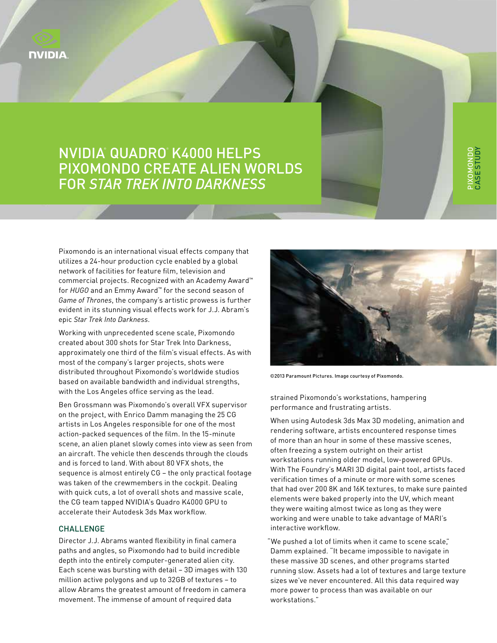

## NVIDIA® Quadro® K4000 Helps Pixomondo Create Alien Worlds for *Star Trek Into Darkness*

Pixomondo is an international visual effects company that utilizes a 24-hour production cycle enabled by a global network of facilities for feature film, television and commercial projects. Recognized with an Academy Award™ for *HUGO* and an Emmy Award™ for the second season of *Game of Thrones*, the company's artistic prowess is further evident in its stunning visual effects work for J.J. Abram's epic *Star Trek Into Darkness*.

Working with unprecedented scene scale, Pixomondo created about 300 shots for Star Trek Into Darkness, approximately one third of the film's visual effects. As with most of the company's larger projects, shots were distributed throughout Pixomondo's worldwide studios based on available bandwidth and individual strengths, with the Los Angeles office serving as the lead.

Ben Grossmann was Pixomondo's overall VFX supervisor on the project, with Enrico Damm managing the 25 CG artists in Los Angeles responsible for one of the most action-packed sequences of the film. In the 15-minute scene, an alien planet slowly comes into view as seen from an aircraft. The vehicle then descends through the clouds and is forced to land. With about 80 VFX shots, the sequence is almost entirely CG – the only practical footage was taken of the crewmembers in the cockpit. Dealing with quick cuts, a lot of overall shots and massive scale, the CG team tapped NVIDIA's Quadro K4000 GPU to accelerate their Autodesk 3ds Max workflow.

## **CHALLENGE**

Director J.J. Abrams wanted flexibility in final camera paths and angles, so Pixomondo had to build incredible depth into the entirely computer-generated alien city. Each scene was bursting with detail – 3D images with 130 million active polygons and up to 32GB of textures – to allow Abrams the greatest amount of freedom in camera movement. The immense of amount of required data



Pixomondo Case

Study

©2013 Paramount Pictures. Image courtesy of Pixomondo.

strained Pixomondo's workstations, hampering performance and frustrating artists.

When using Autodesk 3ds Max 3D modeling, animation and rendering software, artists encountered response times of more than an hour in some of these massive scenes, often freezing a system outright on their artist workstations running older model, low-powered GPUs. With The Foundry's MARI 3D digital paint tool, artists faced verification times of a minute or more with some scenes that had over 200 8K and 16K textures, to make sure painted elements were baked properly into the UV, which meant they were waiting almost twice as long as they were working and were unable to take advantage of MARI's interactive workflow.

"We pushed a lot of limits when it came to scene scale," Damm explained. "It became impossible to navigate in these massive 3D scenes, and other programs started running slow. Assets had a lot of textures and large texture sizes we've never encountered. All this data required way more power to process than was available on our workstations."